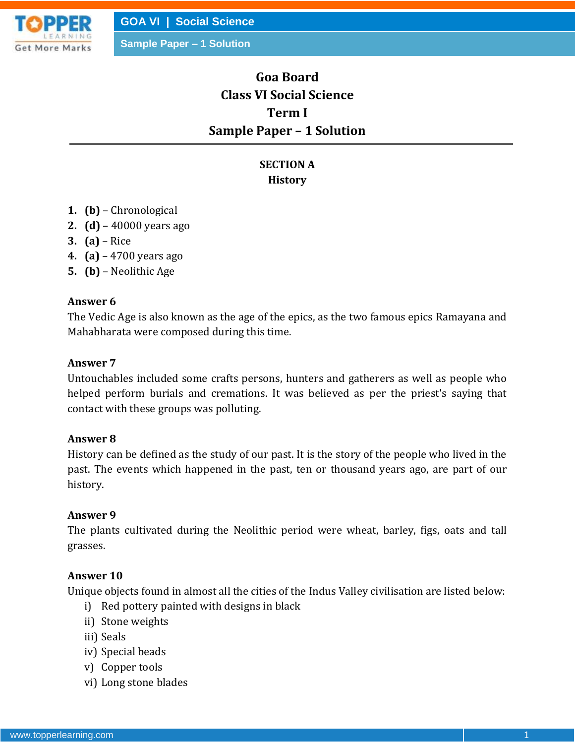

**GOA VI | Social Science**

**Sample Paper – 1 Solution**

# **Goa Board Class VI Social Science Term I Sample Paper – 1 Solution**

## **SECTION A History**

- **1. (b)** Chronological
- **2. (d)** 40000 years ago
- **3. (a)** Rice
- **4. (a)** 4700 years ago
- **5. (b)** Neolithic Age

#### **Answer 6**

The Vedic Age is also known as the age of the epics, as the two famous epics Ramayana and Mahabharata were composed during this time.

#### **Answer 7**

Untouchables included some crafts persons, hunters and gatherers as well as people who helped perform burials and cremations. It was believed as per the priest's saying that contact with these groups was polluting.

#### **Answer 8**

History can be defined as the study of our past. It is the story of the people who lived in the past. The events which happened in the past, ten or thousand years ago, are part of our history.

#### **Answer 9**

The plants cultivated during the Neolithic period were wheat, barley, figs, oats and tall grasses.

#### **Answer 10**

Unique objects found in almost all the cities of the Indus Valley civilisation are listed below:

- i) Red pottery painted with designs in black
- ii) Stone weights
- iii) Seals
- iv) Special beads
- v) Copper tools
- vi) Long stone blades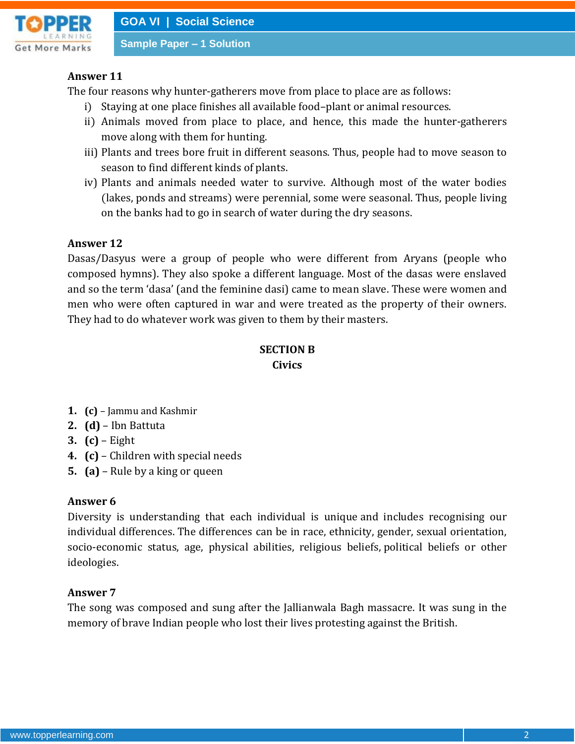

**Sample Paper – 1 Solution**

## **Answer 11**

The four reasons why hunter-gatherers move from place to place are as follows:

- i) Staying at one place finishes all available food–plant or animal resources.
- ii) Animals moved from place to place, and hence, this made the hunter-gatherers move along with them for hunting.
- iii) Plants and trees bore fruit in different seasons. Thus, people had to move season to season to find different kinds of plants.
- iv) Plants and animals needed water to survive. Although most of the water bodies (lakes, ponds and streams) were perennial, some were seasonal. Thus, people living on the banks had to go in search of water during the dry seasons.

## **Answer 12**

Dasas/Dasyus were a group of people who were different from Aryans (people who composed hymns). They also spoke a different language. Most of the dasas were enslaved and so the term 'dasa' (and the feminine dasi) came to mean slave. These were women and men who were often captured in war and were treated as the property of their owners. They had to do whatever work was given to them by their masters.

## **SECTION B Civics**

- **1. (c)** Jammu and Kashmir
- **2. (d)** Ibn Battuta
- **3. (c)** Eight
- **4. (c)** Children with special needs
- **5. (a)** Rule by a king or queen

## **Answer 6**

Diversity is understanding that each individual is unique and includes recognising our individual differences. The differences can be in race, ethnicity, gender, sexual orientation, socio-economic status, age, physical abilities, religious beliefs, political beliefs or other ideologies.

## **Answer 7**

The song was composed and sung after the Jallianwala Bagh massacre. It was sung in the memory of brave Indian people who lost their lives protesting against the British.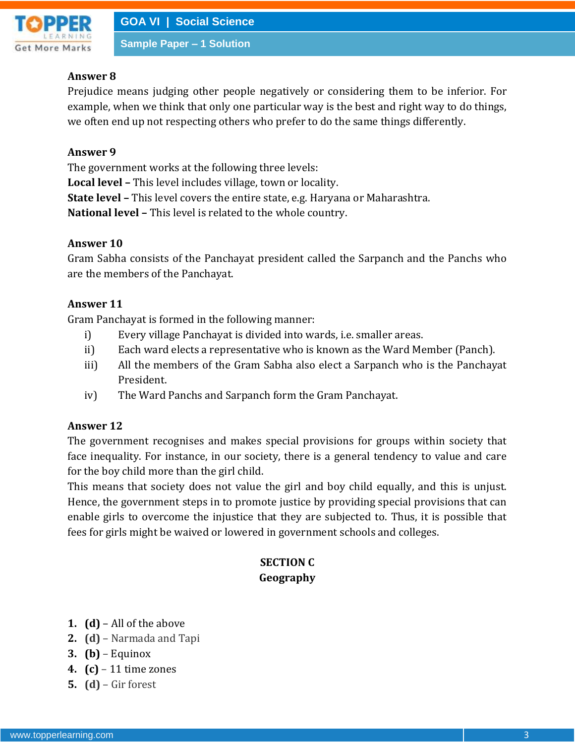

#### **Sample Paper – 1 Solution**

## **Answer 8**

Prejudice means judging other people negatively or considering them to be inferior. For example, when we think that only one particular way is the best and right way to do things, we often end up not respecting others who prefer to do the same things differently.

#### **Answer 9**

The government works at the following three levels:

**Local level –** This level includes village, town or locality.

**State level –** This level covers the entire state, e.g. Haryana or Maharashtra.

**National level –** This level is related to the whole country.

## **Answer 10**

Gram Sabha consists of the Panchayat president called the Sarpanch and the Panchs who are the members of the Panchayat.

## **Answer 11**

Gram Panchayat is formed in the following manner:

- i) Every village Panchayat is divided into wards, i.e. smaller areas.
- ii) Each ward elects a representative who is known as the Ward Member (Panch).
- iii) All the members of the Gram Sabha also elect a Sarpanch who is the Panchayat President.
- iv) The Ward Panchs and Sarpanch form the Gram Panchayat.

## **Answer 12**

The government recognises and makes special provisions for groups within society that face inequality. For instance, in our society, there is a general tendency to value and care for the boy child more than the girl child.

This means that society does not value the girl and boy child equally, and this is unjust. Hence, the government steps in to promote justice by providing special provisions that can enable girls to overcome the injustice that they are subjected to. Thus, it is possible that fees for girls might be waived or lowered in government schools and colleges.

## **SECTION C Geography**

- **1. (d)** All of the above
- **2. (d)** Narmada and Tapi
- **3. (b)** Equinox
- **4. (c)** 11 time zones
- **5. (d)** Gir forest